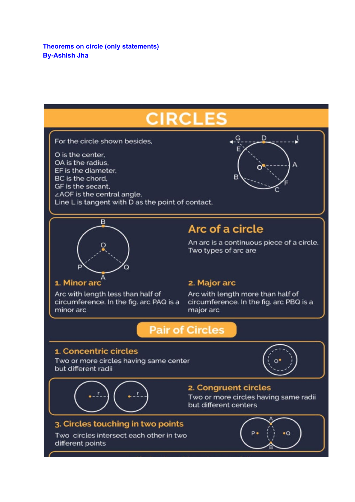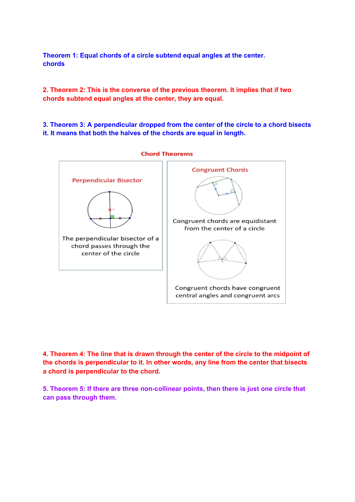**Theorem 1: Equal chords of a circle subtend equal angles at the center. chords**

**2. Theorem 2: This is the converse of the previous theorem. It implies that if two chords subtend equal angles at the center, they are equal.**

**3. Theorem 3: A perpendicular dropped from the center of the circle to a chord bisects it. It means that both the halves of the chords are equal in length.**



**4. Theorem 4: The line that is drawn through the center of the circle to the midpoint of the chords is perpendicular to it. In other words, any line from the center that bisects a chord is perpendicular to the chord.**

**5. Theorem 5: If there are three non-collinear points, then there is just one circle that can pass through them**.